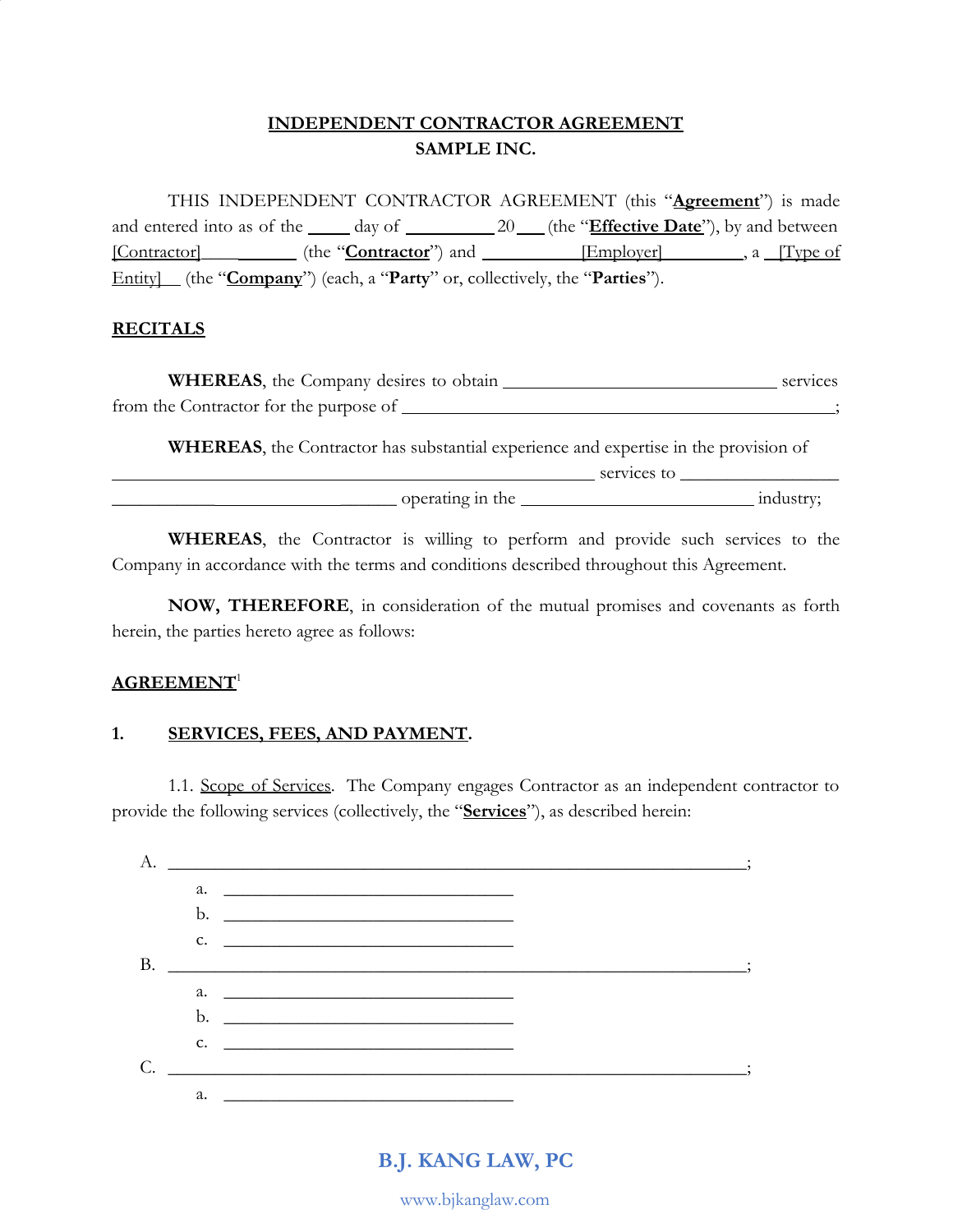## **INDEPENDENT CONTRACTOR AGREEMENT SAMPLE INC.**

THIS INDEPENDENT CONTRACTOR AGREEMENT (this "**Agreement**") is made and entered into as of the <u>come day of 20 (the "Effective Date</u>"), by and between [Contractor]**\_\_\_\_** (the "**Contractor**") and [Employer] , a [Type of Entity] (the "**Company**") (each, a "**Party**" or, collectively, the "**Parties**").

### **RECITALS**

| <b>WHEREAS</b> , the Company desires to obtain | services |
|------------------------------------------------|----------|
| from the Contractor for the purpose of         |          |

**WHEREAS**, the Contractor has substantial experience and expertise in the provision of

|                  | services to |  |
|------------------|-------------|--|
| operating in the |             |  |

**WHEREAS**, the Contractor is willing to perform and provide such services to the Company in accordance with the terms and conditions described throughout this Agreement.

**NOW, THEREFORE**, in consideration of the mutual promises and covenants as forth herein, the parties hereto agree as follows:

### **AGREEMENT**<sup>1</sup>

## **1. SERVICES, FEES, AND PAYMENT.**

1.1. Scope of Services. The Company engages Contractor as an independent contractor to provide the following services (collectively, the "**Services**"), as described herein:

| А.        |    |                                                                                                                                                                                                                                      |  |
|-----------|----|--------------------------------------------------------------------------------------------------------------------------------------------------------------------------------------------------------------------------------------|--|
|           |    |                                                                                                                                                                                                                                      |  |
|           |    |                                                                                                                                                                                                                                      |  |
|           |    | $C.$ $\qquad \qquad$                                                                                                                                                                                                                 |  |
| <b>B.</b> |    |                                                                                                                                                                                                                                      |  |
|           |    | a.                                                                                                                                                                                                                                   |  |
|           |    |                                                                                                                                                                                                                                      |  |
|           |    | $c.$ $\overline{\phantom{a}}$                                                                                                                                                                                                        |  |
| C.        |    |                                                                                                                                                                                                                                      |  |
|           | a. | <u> 1989 - Andrea Stadt British Stadt British Stadt British Stadt British Stadt British Stadt British Stadt British Stadt British Stadt British Stadt British Stadt British Stadt British Stadt British Stadt British Stadt Brit</u> |  |

# **B.J. KANG LAW, PC**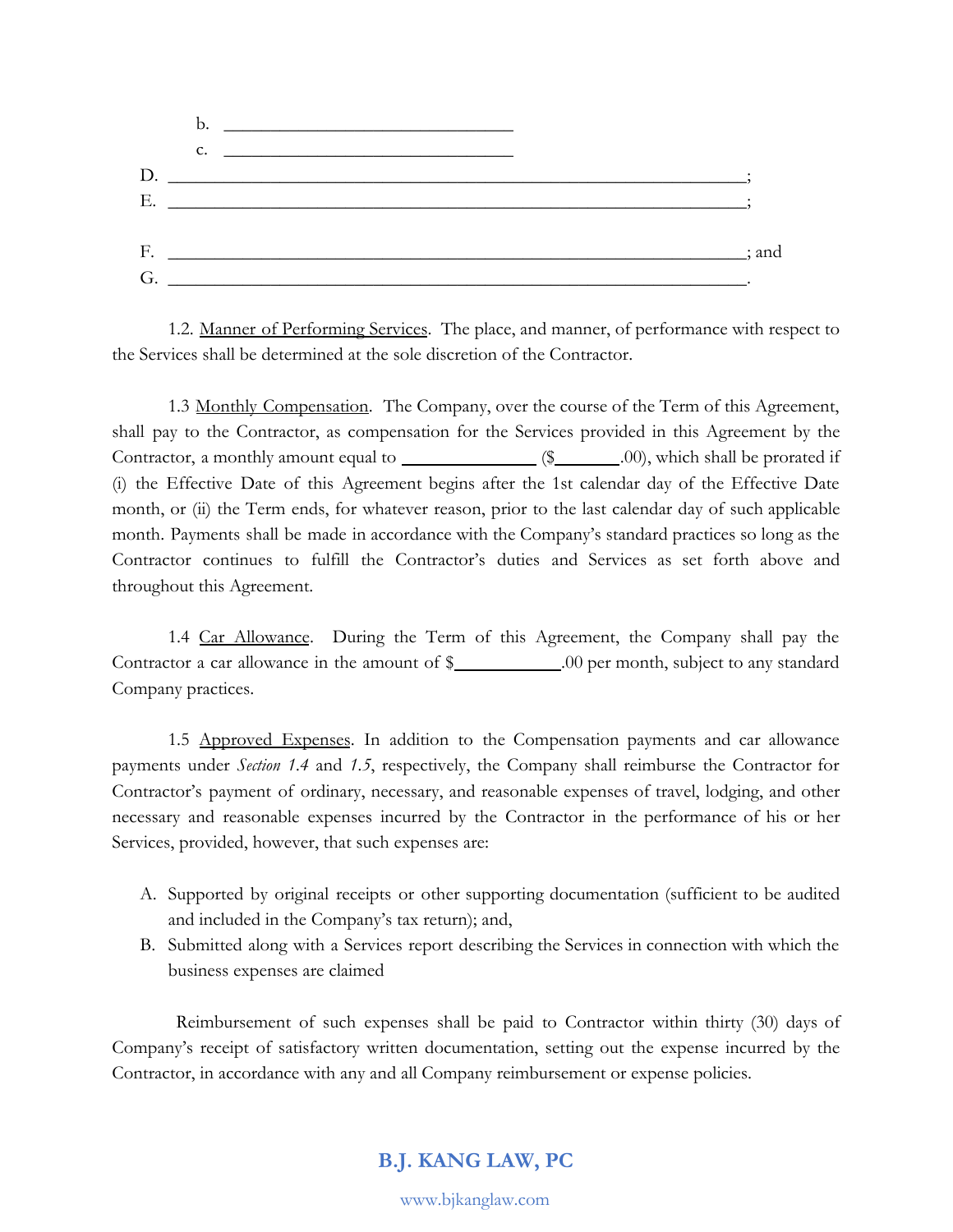

1.2. Manner of Performing Services. The place, and manner, of performance with respect to the Services shall be determined at the sole discretion of the Contractor.

1.3 Monthly Compensation. The Company, over the course of the Term of this Agreement, shall pay to the Contractor, as compensation for the Services provided in this Agreement by the Contractor, a monthly amount equal to  $\qquad$  (\$  $\qquad$  .00), which shall be prorated if (i) the Effective Date of this Agreement begins after the 1st calendar day of the Effective Date month, or (ii) the Term ends, for whatever reason, prior to the last calendar day of such applicable month. Payments shall be made in accordance with the Company's standard practices so long as the Contractor continues to fulfill the Contractor's duties and Services as set forth above and throughout this Agreement.

1.4 Car Allowance. During the Term of this Agreement, the Company shall pay the Contractor a car allowance in the amount of  $\frac{1}{2}$  .00 per month, subject to any standard Company practices.

1.5 Approved Expenses. In addition to the Compensation payments and car allowance payments under *Section 1.4* and *1.5*, respectively, the Company shall reimburse the Contractor for Contractor's payment of ordinary, necessary, and reasonable expenses of travel, lodging, and other necessary and reasonable expenses incurred by the Contractor in the performance of his or her Services, provided, however, that such expenses are:

- A. Supported by original receipts or other supporting documentation (sufficient to be audited and included in the Company's tax return); and,
- B. Submitted along with a Services report describing the Services in connection with which the business expenses are claimed

Reimbursement of such expenses shall be paid to Contractor within thirty (30) days of Company's receipt of satisfactory written documentation, setting out the expense incurred by the Contractor, in accordance with any and all Company reimbursement or expense policies.

## **B.J. KANG LAW, PC**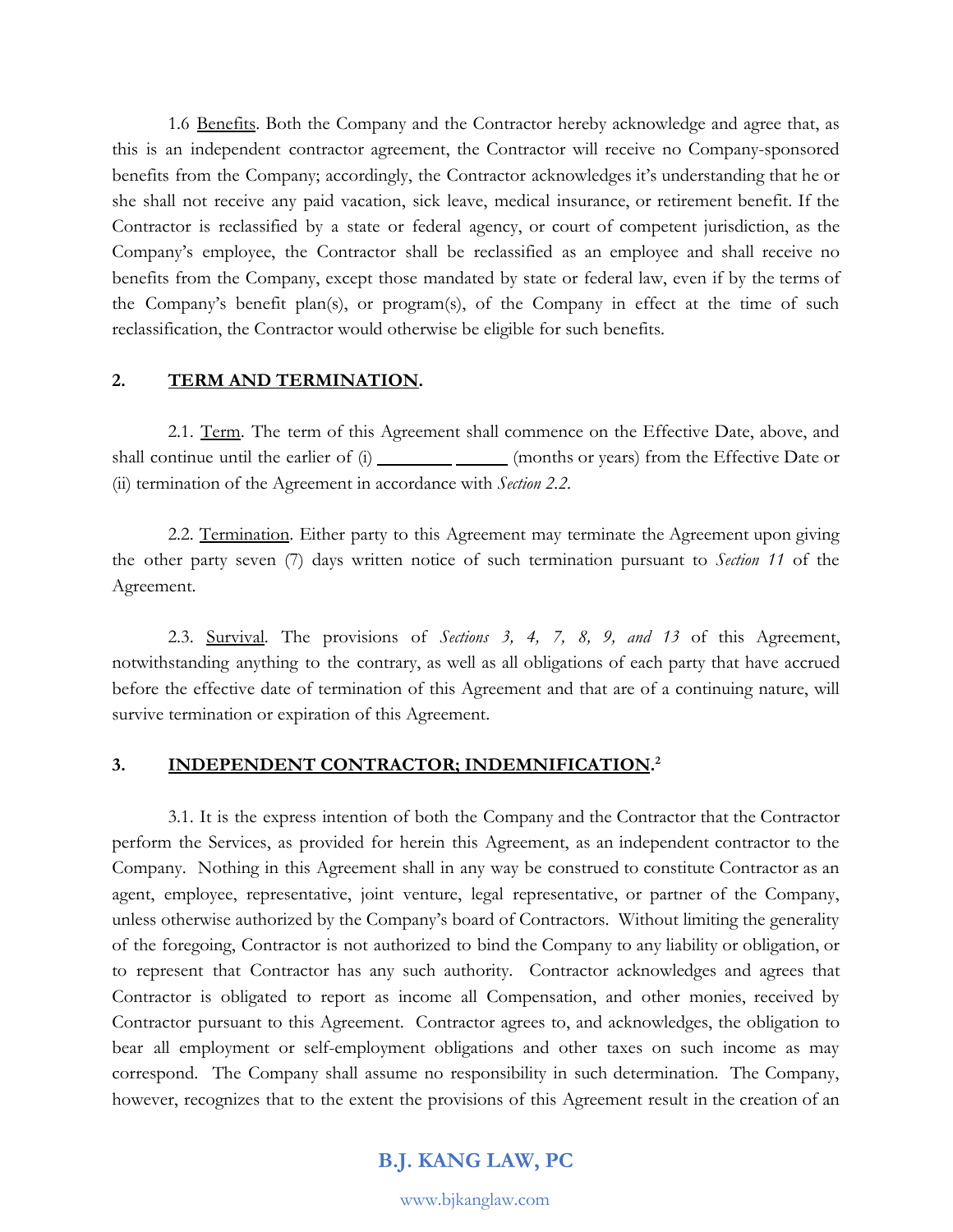1.6 Benefits. Both the Company and the Contractor hereby acknowledge and agree that, as this is an independent contractor agreement, the Contractor will receive no Company-sponsored benefits from the Company; accordingly, the Contractor acknowledges it's understanding that he or she shall not receive any paid vacation, sick leave, medical insurance, or retirement benefit. If the Contractor is reclassified by a state or federal agency, or court of competent jurisdiction, as the Company's employee, the Contractor shall be reclassified as an employee and shall receive no benefits from the Company, except those mandated by state or federal law, even if by the terms of the Company's benefit plan(s), or program(s), of the Company in effect at the time of such reclassification, the Contractor would otherwise be eligible for such benefits.

#### **2. TERM AND TERMINATION.**

2.1. Term. The term of this Agreement shall commence on the Effective Date, above, and shall continue until the earlier of  $(i)$  (months or years) from the Effective Date or (ii) termination of the Agreement in accordance with *Section 2.2*.

2.2. Termination. Either party to this Agreement may terminate the Agreement upon giving the other party seven (7) days written notice of such termination pursuant to *Section 11* of the Agreement.

2.3. Survival. The provisions of *Sections 3, 4, 7, 8, 9, and 13* of this Agreement, notwithstanding anything to the contrary, as well as all obligations of each party that have accrued before the effective date of termination of this Agreement and that are of a continuing nature, will survive termination or expiration of this Agreement.

#### **3. INDEPENDENT CONTRACTOR; INDEMNIFICATION. 2**

3.1. It is the express intention of both the Company and the Contractor that the Contractor perform the Services, as provided for herein this Agreement, as an independent contractor to the Company. Nothing in this Agreement shall in any way be construed to constitute Contractor as an agent, employee, representative, joint venture, legal representative, or partner of the Company, unless otherwise authorized by the Company's board of Contractors. Without limiting the generality of the foregoing, Contractor is not authorized to bind the Company to any liability or obligation, or to represent that Contractor has any such authority. Contractor acknowledges and agrees that Contractor is obligated to report as income all Compensation, and other monies, received by Contractor pursuant to this Agreement. Contractor agrees to, and acknowledges, the obligation to bear all employment or self-employment obligations and other taxes on such income as may correspond. The Company shall assume no responsibility in such determination. The Company, however, recognizes that to the extent the provisions of this Agreement result in the creation of an

### **B.J. KANG LAW, PC**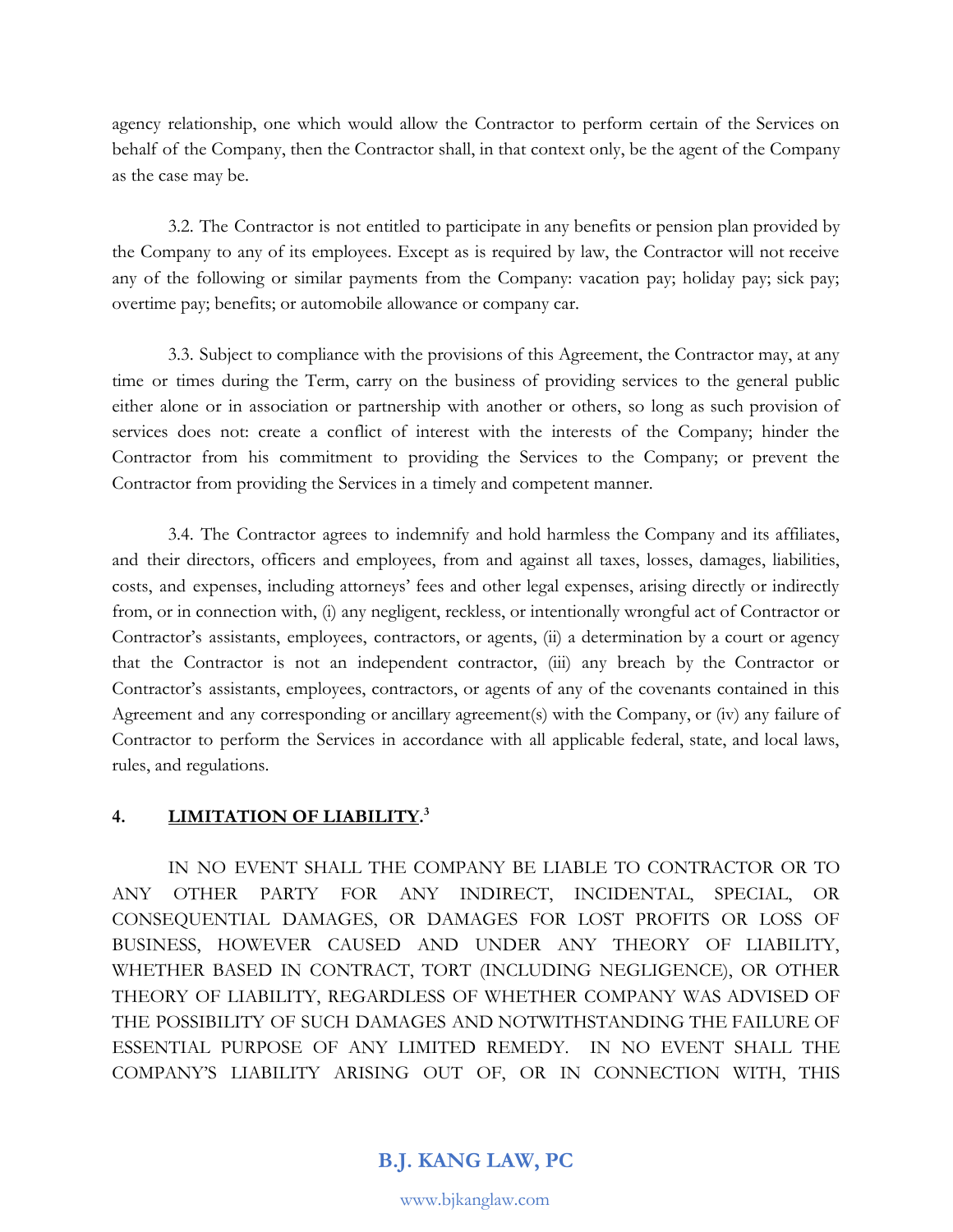agency relationship, one which would allow the Contractor to perform certain of the Services on behalf of the Company, then the Contractor shall, in that context only, be the agent of the Company as the case may be.

3.2. The Contractor is not entitled to participate in any benefits or pension plan provided by the Company to any of its employees. Except as is required by law, the Contractor will not receive any of the following or similar payments from the Company: vacation pay; holiday pay; sick pay; overtime pay; benefits; or automobile allowance or company car.

3.3. Subject to compliance with the provisions of this Agreement, the Contractor may, at any time or times during the Term, carry on the business of providing services to the general public either alone or in association or partnership with another or others, so long as such provision of services does not: create a conflict of interest with the interests of the Company; hinder the Contractor from his commitment to providing the Services to the Company; or prevent the Contractor from providing the Services in a timely and competent manner.

3.4. The Contractor agrees to indemnify and hold harmless the Company and its affiliates, and their directors, officers and employees, from and against all taxes, losses, damages, liabilities, costs, and expenses, including attorneys' fees and other legal expenses, arising directly or indirectly from, or in connection with, (i) any negligent, reckless, or intentionally wrongful act of Contractor or Contractor's assistants, employees, contractors, or agents, (ii) a determination by a court or agency that the Contractor is not an independent contractor, (iii) any breach by the Contractor or Contractor's assistants, employees, contractors, or agents of any of the covenants contained in this Agreement and any corresponding or ancillary agreement(s) with the Company, or (iv) any failure of Contractor to perform the Services in accordance with all applicable federal, state, and local laws, rules, and regulations.

## **4. LIMITATION OF LIABILITY. 3**

IN NO EVENT SHALL THE COMPANY BE LIABLE TO CONTRACTOR OR TO ANY OTHER PARTY FOR ANY INDIRECT, INCIDENTAL, SPECIAL, OR CONSEQUENTIAL DAMAGES, OR DAMAGES FOR LOST PROFITS OR LOSS OF BUSINESS, HOWEVER CAUSED AND UNDER ANY THEORY OF LIABILITY, WHETHER BASED IN CONTRACT, TORT (INCLUDING NEGLIGENCE), OR OTHER THEORY OF LIABILITY, REGARDLESS OF WHETHER COMPANY WAS ADVISED OF THE POSSIBILITY OF SUCH DAMAGES AND NOTWITHSTANDING THE FAILURE OF ESSENTIAL PURPOSE OF ANY LIMITED REMEDY. IN NO EVENT SHALL THE COMPANY'S LIABILITY ARISING OUT OF, OR IN CONNECTION WITH, THIS

**B.J. KANG LAW, PC**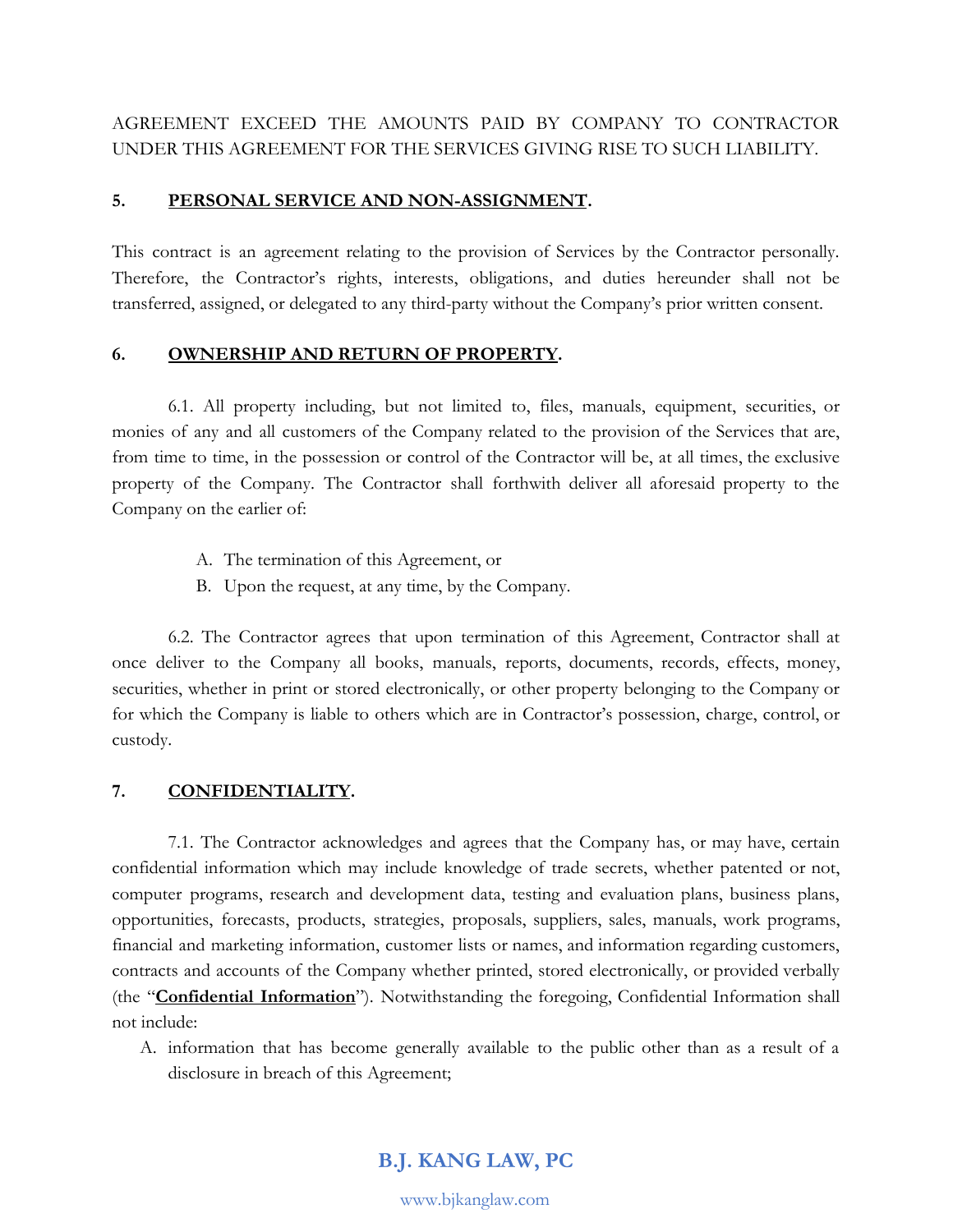AGREEMENT EXCEED THE AMOUNTS PAID BY COMPANY TO CONTRACTOR UNDER THIS AGREEMENT FOR THE SERVICES GIVING RISE TO SUCH LIABILITY.

### **5. PERSONAL SERVICE AND NON-ASSIGNMENT.**

This contract is an agreement relating to the provision of Services by the Contractor personally. Therefore, the Contractor's rights, interests, obligations, and duties hereunder shall not be transferred, assigned, or delegated to any third-party without the Company's prior written consent.

### **6. OWNERSHIP AND RETURN OF PROPERTY.**

6.1. All property including, but not limited to, files, manuals, equipment, securities, or monies of any and all customers of the Company related to the provision of the Services that are, from time to time, in the possession or control of the Contractor will be, at all times, the exclusive property of the Company. The Contractor shall forthwith deliver all aforesaid property to the Company on the earlier of:

- A. The termination of this Agreement, or
- B. Upon the request, at any time, by the Company.

6.2. The Contractor agrees that upon termination of this Agreement, Contractor shall at once deliver to the Company all books, manuals, reports, documents, records, effects, money, securities, whether in print or stored electronically, or other property belonging to the Company or for which the Company is liable to others which are in Contractor's possession, charge, control, or custody.

## **7. CONFIDENTIALITY.**

7.1. The Contractor acknowledges and agrees that the Company has, or may have, certain confidential information which may include knowledge of trade secrets, whether patented or not, computer programs, research and development data, testing and evaluation plans, business plans, opportunities, forecasts, products, strategies, proposals, suppliers, sales, manuals, work programs, financial and marketing information, customer lists or names, and information regarding customers, contracts and accounts of the Company whether printed, stored electronically, or provided verbally (the "**Confidential Information**"). Notwithstanding the foregoing, Confidential Information shall not include:

A. information that has become generally available to the public other than as a result of a disclosure in breach of this Agreement;

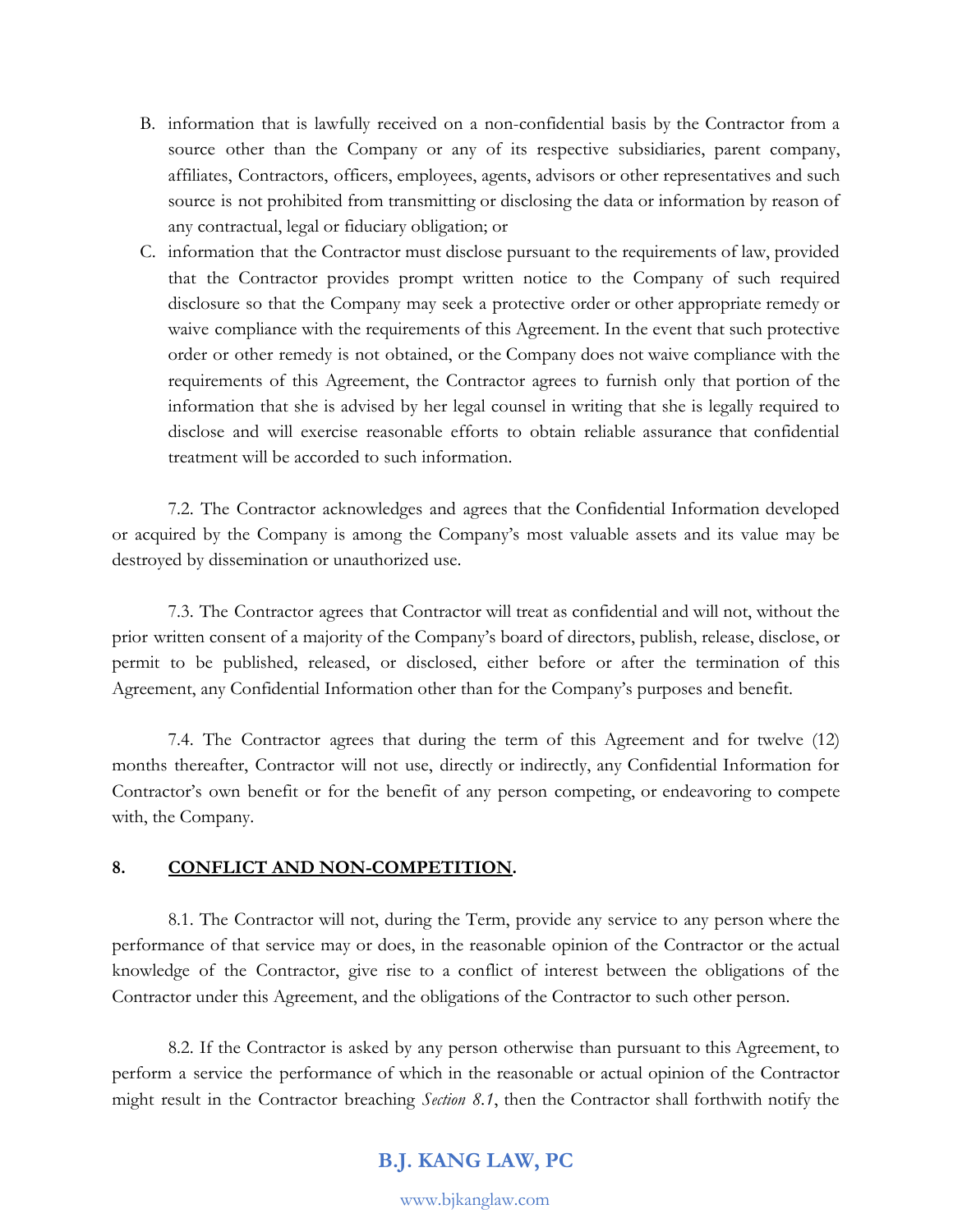- B. information that is lawfully received on a non-confidential basis by the Contractor from a source other than the Company or any of its respective subsidiaries, parent company, affiliates, Contractors, officers, employees, agents, advisors or other representatives and such source is not prohibited from transmitting or disclosing the data or information by reason of any contractual, legal or fiduciary obligation; or
- C. information that the Contractor must disclose pursuant to the requirements of law, provided that the Contractor provides prompt written notice to the Company of such required disclosure so that the Company may seek a protective order or other appropriate remedy or waive compliance with the requirements of this Agreement. In the event that such protective order or other remedy is not obtained, or the Company does not waive compliance with the requirements of this Agreement, the Contractor agrees to furnish only that portion of the information that she is advised by her legal counsel in writing that she is legally required to disclose and will exercise reasonable efforts to obtain reliable assurance that confidential treatment will be accorded to such information.

7.2. The Contractor acknowledges and agrees that the Confidential Information developed or acquired by the Company is among the Company's most valuable assets and its value may be destroyed by dissemination or unauthorized use.

7.3. The Contractor agrees that Contractor will treat as confidential and will not, without the prior written consent of a majority of the Company's board of directors, publish, release, disclose, or permit to be published, released, or disclosed, either before or after the termination of this Agreement, any Confidential Information other than for the Company's purposes and benefit.

7.4. The Contractor agrees that during the term of this Agreement and for twelve (12) months thereafter, Contractor will not use, directly or indirectly, any Confidential Information for Contractor's own benefit or for the benefit of any person competing, or endeavoring to compete with, the Company.

### **8. CONFLICT AND NON-COMPETITION.**

8.1. The Contractor will not, during the Term, provide any service to any person where the performance of that service may or does, in the reasonable opinion of the Contractor or the actual knowledge of the Contractor, give rise to a conflict of interest between the obligations of the Contractor under this Agreement, and the obligations of the Contractor to such other person.

8.2. If the Contractor is asked by any person otherwise than pursuant to this Agreement, to perform a service the performance of which in the reasonable or actual opinion of the Contractor might result in the Contractor breaching *Section 8.1*, then the Contractor shall forthwith notify the

## **B.J. KANG LAW, PC**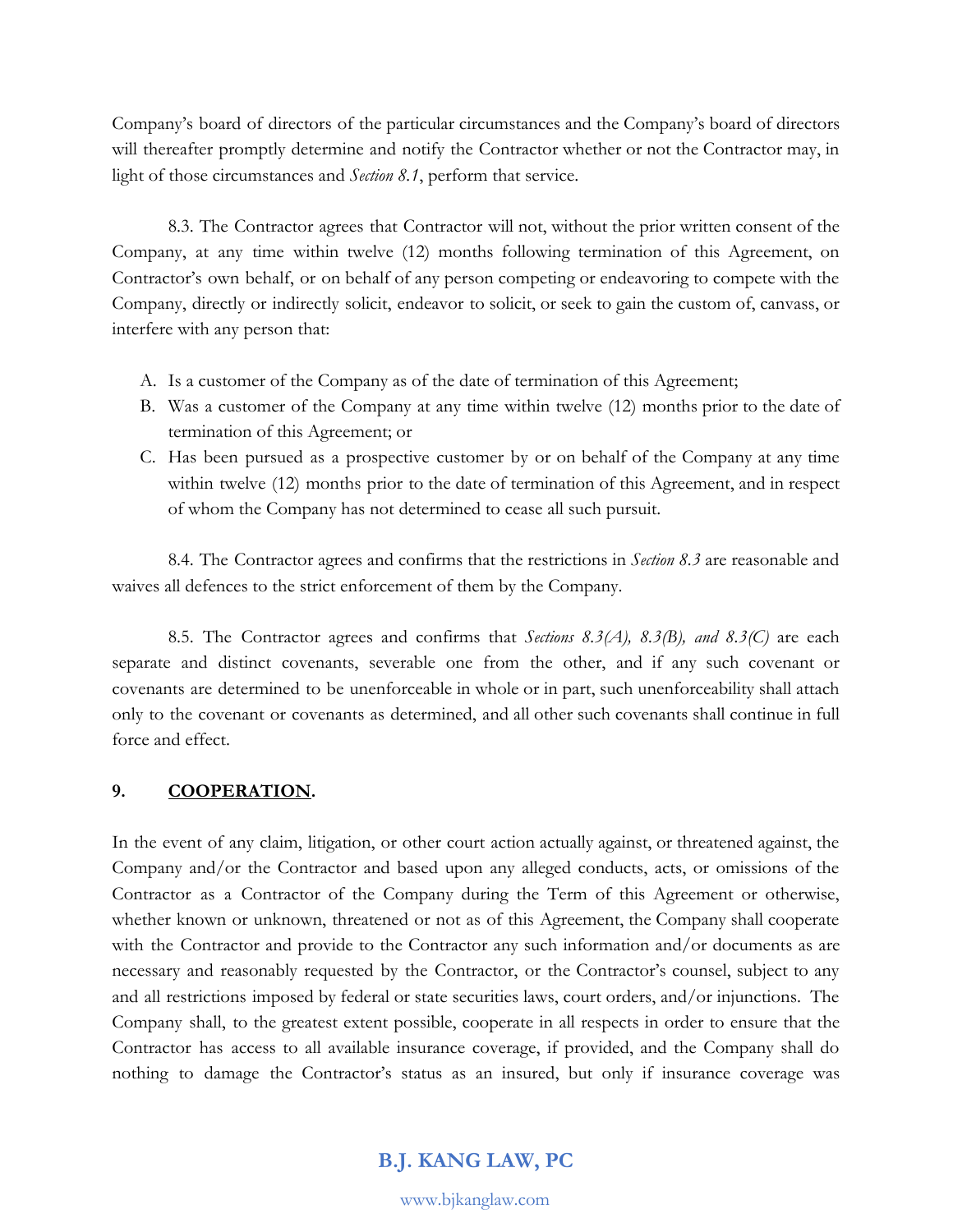Company's board of directors of the particular circumstances and the Company's board of directors will thereafter promptly determine and notify the Contractor whether or not the Contractor may, in light of those circumstances and *Section 8.1*, perform that service.

8.3. The Contractor agrees that Contractor will not, without the prior written consent of the Company, at any time within twelve (12) months following termination of this Agreement, on Contractor's own behalf, or on behalf of any person competing or endeavoring to compete with the Company, directly or indirectly solicit, endeavor to solicit, or seek to gain the custom of, canvass, or interfere with any person that:

- A. Is a customer of the Company as of the date of termination of this Agreement;
- B. Was a customer of the Company at any time within twelve (12) months prior to the date of termination of this Agreement; or
- C. Has been pursued as a prospective customer by or on behalf of the Company at any time within twelve (12) months prior to the date of termination of this Agreement, and in respect of whom the Company has not determined to cease all such pursuit.

8.4. The Contractor agrees and confirms that the restrictions in *Section 8.3* are reasonable and waives all defences to the strict enforcement of them by the Company.

8.5. The Contractor agrees and confirms that *Sections 8.3(A), 8.3(B), and 8.3(C)* are each separate and distinct covenants, severable one from the other, and if any such covenant or covenants are determined to be unenforceable in whole or in part, such unenforceability shall attach only to the covenant or covenants as determined, and all other such covenants shall continue in full force and effect.

## **9. COOPERATION.**

In the event of any claim, litigation, or other court action actually against, or threatened against, the Company and/or the Contractor and based upon any alleged conducts, acts, or omissions of the Contractor as a Contractor of the Company during the Term of this Agreement or otherwise, whether known or unknown, threatened or not as of this Agreement, the Company shall cooperate with the Contractor and provide to the Contractor any such information and/or documents as are necessary and reasonably requested by the Contractor, or the Contractor's counsel, subject to any and all restrictions imposed by federal or state securities laws, court orders, and/or injunctions. The Company shall, to the greatest extent possible, cooperate in all respects in order to ensure that the Contractor has access to all available insurance coverage, if provided, and the Company shall do nothing to damage the Contractor's status as an insured, but only if insurance coverage was

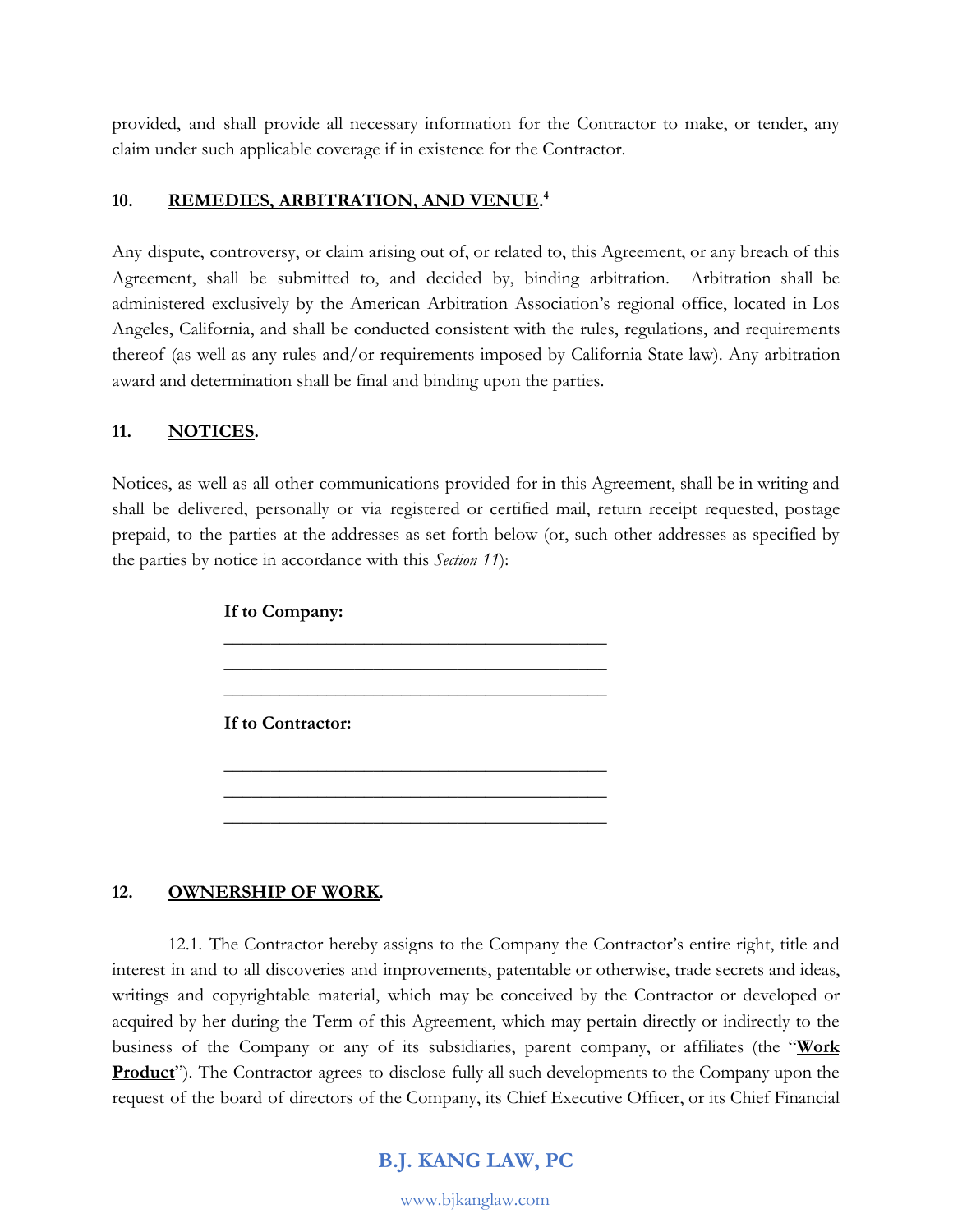provided, and shall provide all necessary information for the Contractor to make, or tender, any claim under such applicable coverage if in existence for the Contractor.

### **10. REMEDIES, ARBITRATION, AND VENUE. 4**

Any dispute, controversy, or claim arising out of, or related to, this Agreement, or any breach of this Agreement, shall be submitted to, and decided by, binding arbitration. Arbitration shall be administered exclusively by the American Arbitration Association's regional office, located in Los Angeles, California, and shall be conducted consistent with the rules, regulations, and requirements thereof (as well as any rules and/or requirements imposed by California State law). Any arbitration award and determination shall be final and binding upon the parties.

### **11. NOTICES.**

Notices, as well as all other communications provided for in this Agreement, shall be in writing and shall be delivered, personally or via registered or certified mail, return receipt requested, postage prepaid, to the parties at the addresses as set forth below (or, such other addresses as specified by the parties by notice in accordance with this *Section 11*):

> **If to Company:** \_\_\_\_\_\_\_\_\_\_\_\_\_\_\_\_\_\_\_\_\_\_\_\_\_\_\_\_\_\_\_\_\_\_\_\_\_\_\_\_\_ \_\_\_\_\_\_\_\_\_\_\_\_\_\_\_\_\_\_\_\_\_\_\_\_\_\_\_\_\_\_\_\_\_\_\_\_\_\_\_\_\_ \_\_\_\_\_\_\_\_\_\_\_\_\_\_\_\_\_\_\_\_\_\_\_\_\_\_\_\_\_\_\_\_\_\_\_\_\_\_\_\_\_ **If to Contractor:** \_\_\_\_\_\_\_\_\_\_\_\_\_\_\_\_\_\_\_\_\_\_\_\_\_\_\_\_\_\_\_\_\_\_\_\_\_\_\_\_\_ \_\_\_\_\_\_\_\_\_\_\_\_\_\_\_\_\_\_\_\_\_\_\_\_\_\_\_\_\_\_\_\_\_\_\_\_\_\_\_\_\_ \_\_\_\_\_\_\_\_\_\_\_\_\_\_\_\_\_\_\_\_\_\_\_\_\_\_\_\_\_\_\_\_\_\_\_\_\_\_\_\_\_

### **12. OWNERSHIP OF WORK.**

12.1. The Contractor hereby assigns to the Company the Contractor's entire right, title and interest in and to all discoveries and improvements, patentable or otherwise, trade secrets and ideas, writings and copyrightable material, which may be conceived by the Contractor or developed or acquired by her during the Term of this Agreement, which may pertain directly or indirectly to the business of the Company or any of its subsidiaries, parent company, or affiliates (the "**Work Product**"). The Contractor agrees to disclose fully all such developments to the Company upon the request of the board of directors of the Company, its Chief Executive Officer, or its Chief Financial

## **B.J. KANG LAW, PC**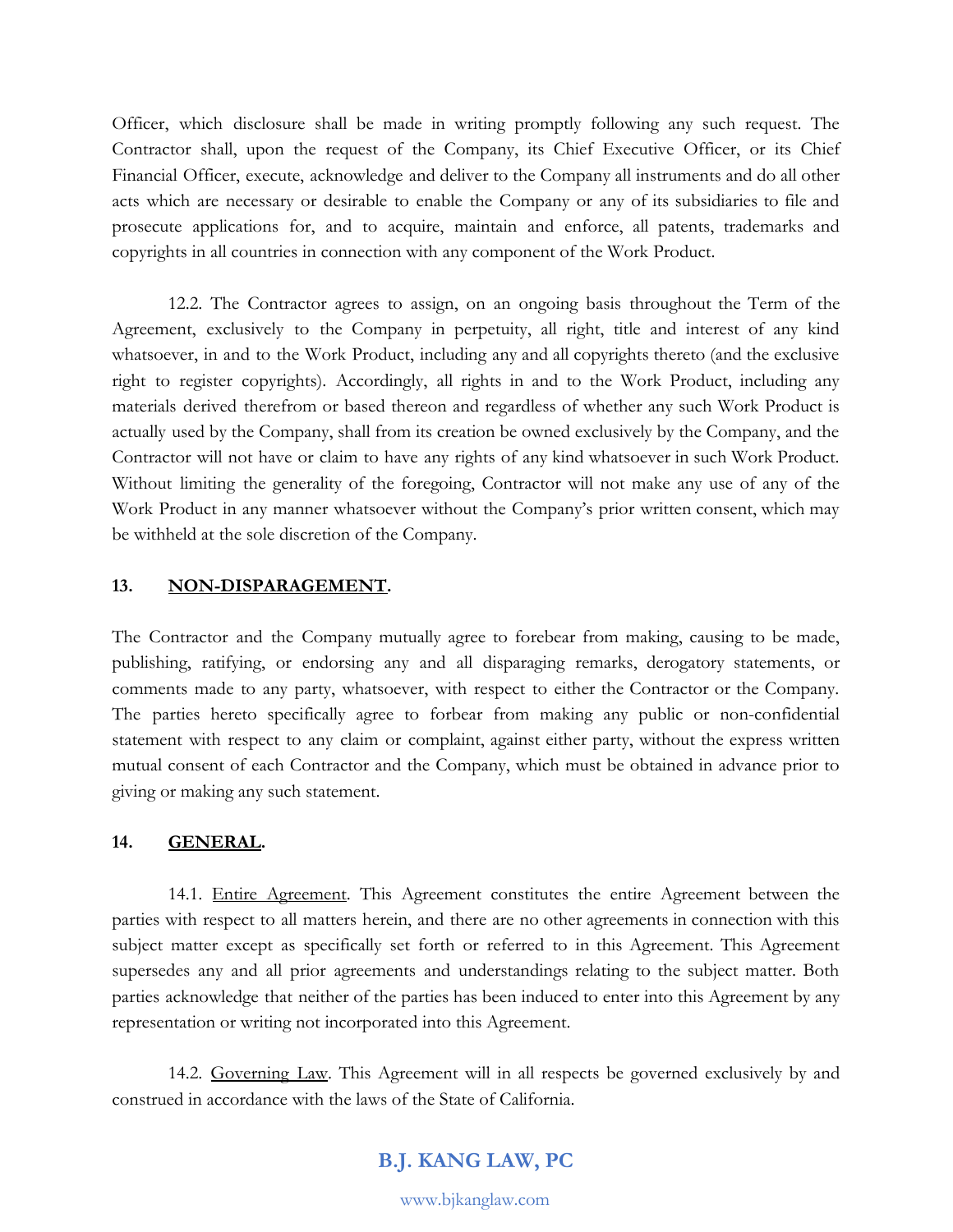Officer, which disclosure shall be made in writing promptly following any such request. The Contractor shall, upon the request of the Company, its Chief Executive Officer, or its Chief Financial Officer, execute, acknowledge and deliver to the Company all instruments and do all other acts which are necessary or desirable to enable the Company or any of its subsidiaries to file and prosecute applications for, and to acquire, maintain and enforce, all patents, trademarks and copyrights in all countries in connection with any component of the Work Product.

12.2. The Contractor agrees to assign, on an ongoing basis throughout the Term of the Agreement, exclusively to the Company in perpetuity, all right, title and interest of any kind whatsoever, in and to the Work Product, including any and all copyrights thereto (and the exclusive right to register copyrights). Accordingly, all rights in and to the Work Product, including any materials derived therefrom or based thereon and regardless of whether any such Work Product is actually used by the Company, shall from its creation be owned exclusively by the Company, and the Contractor will not have or claim to have any rights of any kind whatsoever in such Work Product. Without limiting the generality of the foregoing, Contractor will not make any use of any of the Work Product in any manner whatsoever without the Company's prior written consent, which may be withheld at the sole discretion of the Company.

#### **13. NON-DISPARAGEMENT.**

The Contractor and the Company mutually agree to forebear from making, causing to be made, publishing, ratifying, or endorsing any and all disparaging remarks, derogatory statements, or comments made to any party, whatsoever, with respect to either the Contractor or the Company. The parties hereto specifically agree to forbear from making any public or non-confidential statement with respect to any claim or complaint, against either party, without the express written mutual consent of each Contractor and the Company, which must be obtained in advance prior to giving or making any such statement.

### **14. GENERAL.**

14.1. Entire Agreement. This Agreement constitutes the entire Agreement between the parties with respect to all matters herein, and there are no other agreements in connection with this subject matter except as specifically set forth or referred to in this Agreement. This Agreement supersedes any and all prior agreements and understandings relating to the subject matter. Both parties acknowledge that neither of the parties has been induced to enter into this Agreement by any representation or writing not incorporated into this Agreement.

14.2. Governing Law. This Agreement will in all respects be governed exclusively by and construed in accordance with the laws of the State of California.

# **B.J. KANG LAW, PC**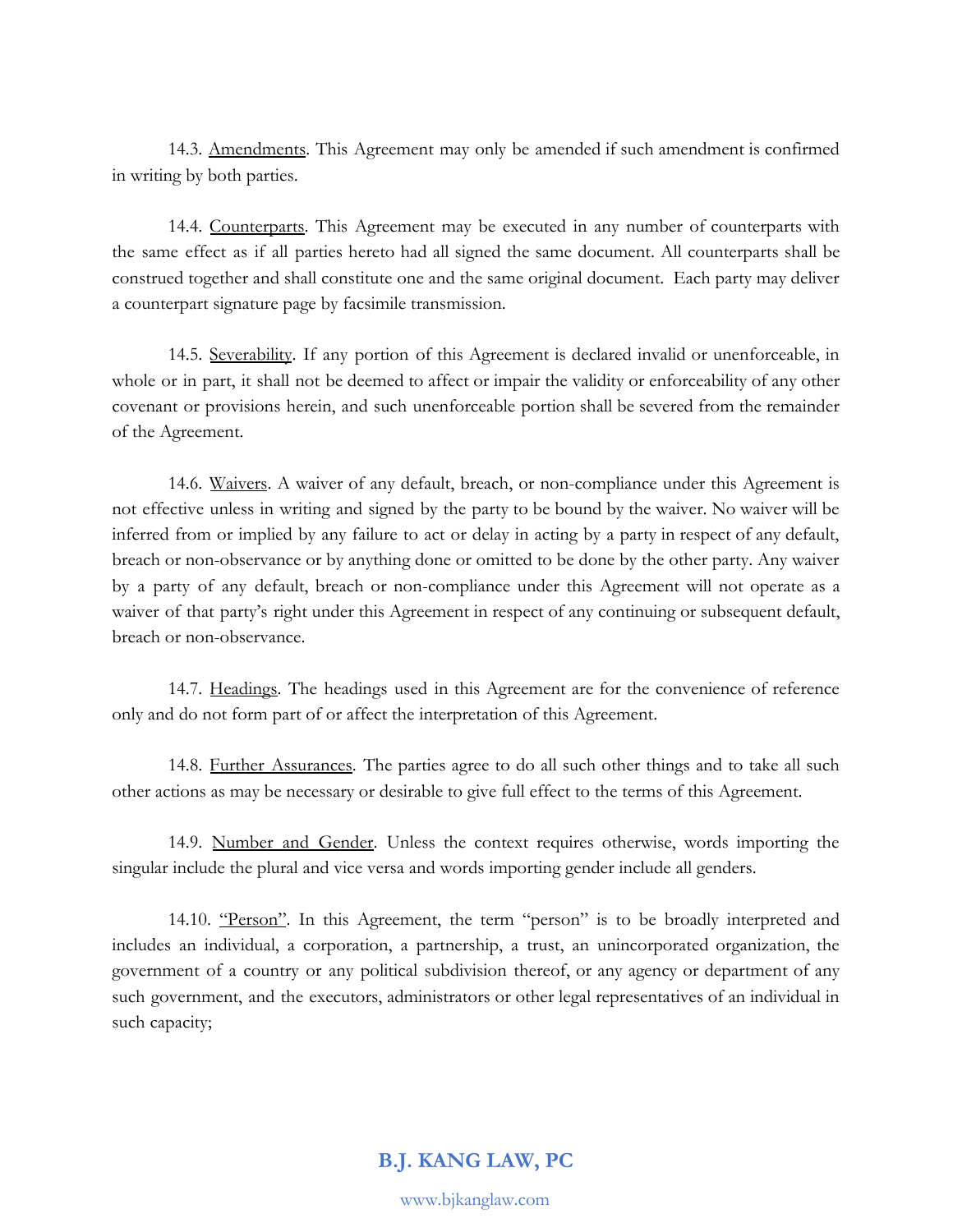14.3. Amendments. This Agreement may only be amended if such amendment is confirmed in writing by both parties.

14.4. Counterparts. This Agreement may be executed in any number of counterparts with the same effect as if all parties hereto had all signed the same document. All counterparts shall be construed together and shall constitute one and the same original document. Each party may deliver a counterpart signature page by facsimile transmission.

14.5. Severability. If any portion of this Agreement is declared invalid or unenforceable, in whole or in part, it shall not be deemed to affect or impair the validity or enforceability of any other covenant or provisions herein, and such unenforceable portion shall be severed from the remainder of the Agreement.

14.6. Waivers. A waiver of any default, breach, or non-compliance under this Agreement is not effective unless in writing and signed by the party to be bound by the waiver. No waiver will be inferred from or implied by any failure to act or delay in acting by a party in respect of any default, breach or non-observance or by anything done or omitted to be done by the other party. Any waiver by a party of any default, breach or non-compliance under this Agreement will not operate as a waiver of that party's right under this Agreement in respect of any continuing or subsequent default, breach or non-observance.

14.7. Headings. The headings used in this Agreement are for the convenience of reference only and do not form part of or affect the interpretation of this Agreement.

14.8. Further Assurances. The parties agree to do all such other things and to take all such other actions as may be necessary or desirable to give full effect to the terms of this Agreement.

14.9. Number and Gender. Unless the context requires otherwise, words importing the singular include the plural and vice versa and words importing gender include all genders.

14.10. "Person". In this Agreement, the term "person" is to be broadly interpreted and includes an individual, a corporation, a partnership, a trust, an unincorporated organization, the government of a country or any political subdivision thereof, or any agency or department of any such government, and the executors, administrators or other legal representatives of an individual in such capacity;

## **B.J. KANG LAW, PC**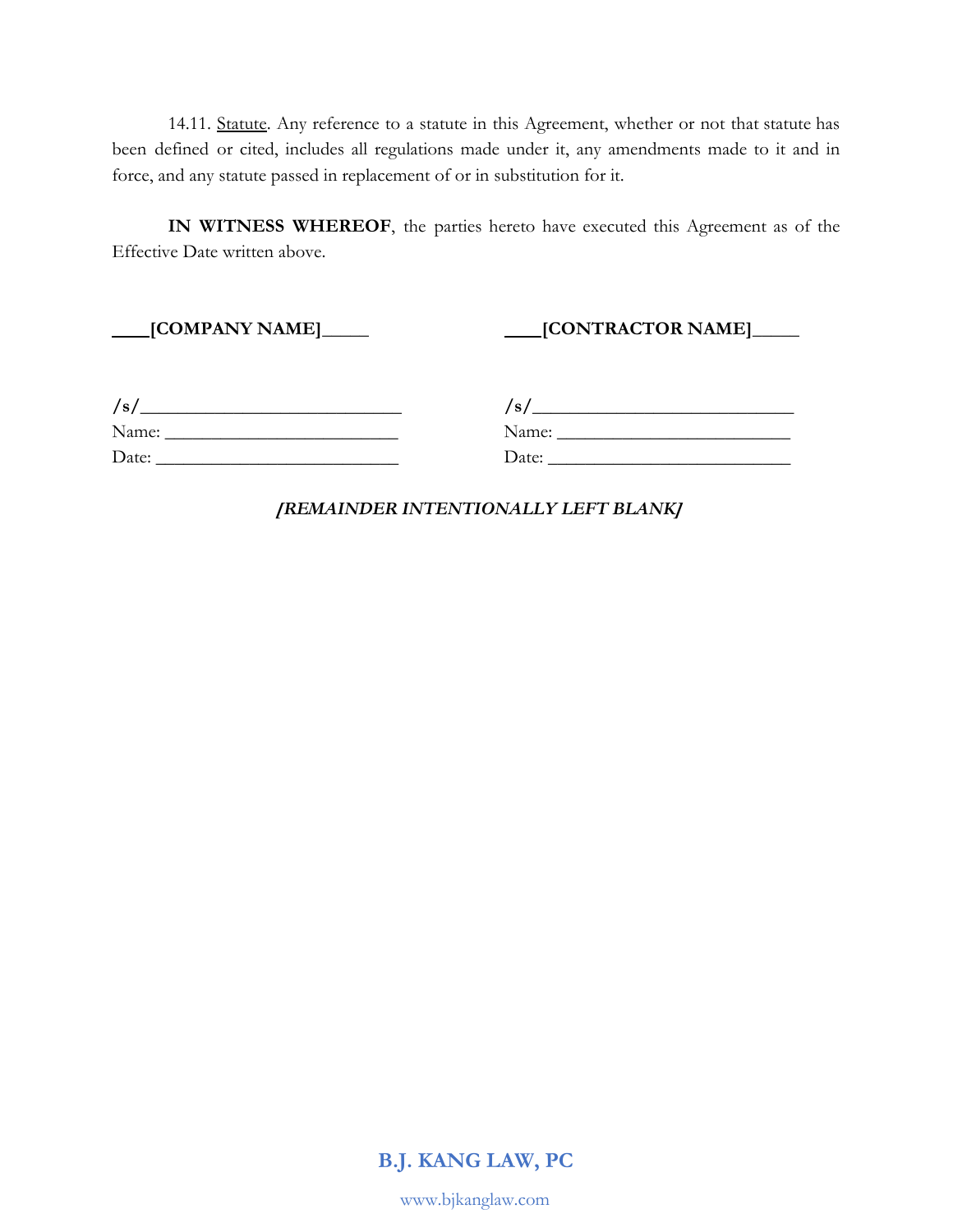14.11. Statute. Any reference to a statute in this Agreement, whether or not that statute has been defined or cited, includes all regulations made under it, any amendments made to it and in force, and any statute passed in replacement of or in substitution for it.

**IN WITNESS WHEREOF**, the parties hereto have executed this Agreement as of the Effective Date written above.

 **[COMPANY NAME]\_\_\_\_\_ [CONTRACTOR NAME]\_\_\_\_\_**

| /s/   |  |  |
|-------|--|--|
| Name: |  |  |
| Date: |  |  |

**/s/\_\_\_\_\_\_\_\_\_\_\_\_\_\_\_\_\_\_\_\_\_\_\_\_\_\_\_\_ /s/\_\_\_\_\_\_\_\_\_\_\_\_\_\_\_\_\_\_\_\_\_\_\_\_\_\_\_\_** Name: **\_\_\_\_\_\_\_\_\_\_\_\_\_\_\_\_\_\_\_\_\_\_\_\_\_** Name: **\_\_\_\_\_\_\_\_\_\_\_\_\_\_\_\_\_\_\_\_\_\_\_\_\_** Date: **\_\_\_\_\_\_\_\_\_\_\_\_\_\_\_\_\_\_\_\_\_\_\_\_\_\_** Date: **\_\_\_\_\_\_\_\_\_\_\_\_\_\_\_\_\_\_\_\_\_\_\_\_\_\_**

*[REMAINDER INTENTIONALLY LEFT BLANK]*

**B.J. KANG LAW, PC**